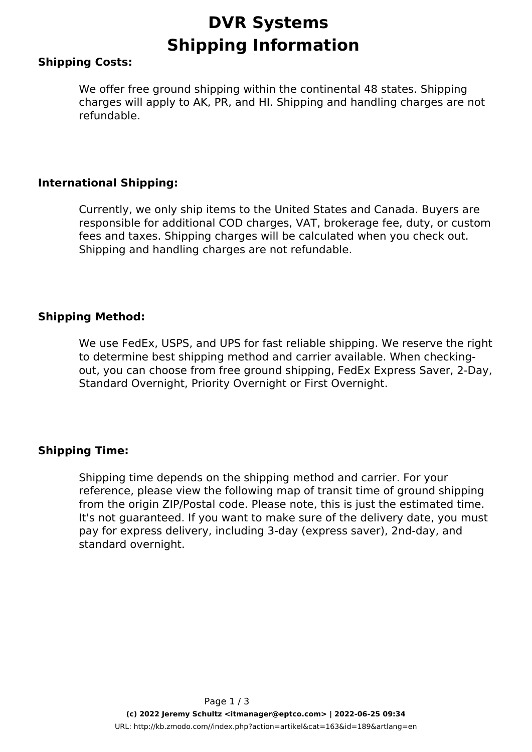# **DVR Systems Shipping Information**

#### **Shipping Costs:**

We offer free ground shipping within the continental 48 states. Shipping charges will apply to AK, PR, and HI. Shipping and handling charges are not refundable.

#### **International Shipping:**

Currently, we only ship items to the United States and Canada. Buyers are responsible for additional COD charges, VAT, brokerage fee, duty, or custom fees and taxes. Shipping charges will be calculated when you check out. Shipping and handling charges are not refundable.

#### **Shipping Method:**

We use FedEx, USPS, and UPS for fast reliable shipping. We reserve the right to determine best shipping method and carrier available. When checkingout, you can choose from free ground shipping, FedEx Express Saver, 2-Day, Standard Overnight, Priority Overnight or First Overnight.

### **Shipping Time:**

Shipping time depends on the shipping method and carrier. For your reference, please view the following map of transit time of ground shipping from the origin ZIP/Postal code. Please note, this is just the estimated time. It's not guaranteed. If you want to make sure of the delivery date, you must pay for express delivery, including 3-day (express saver), 2nd-day, and standard overnight.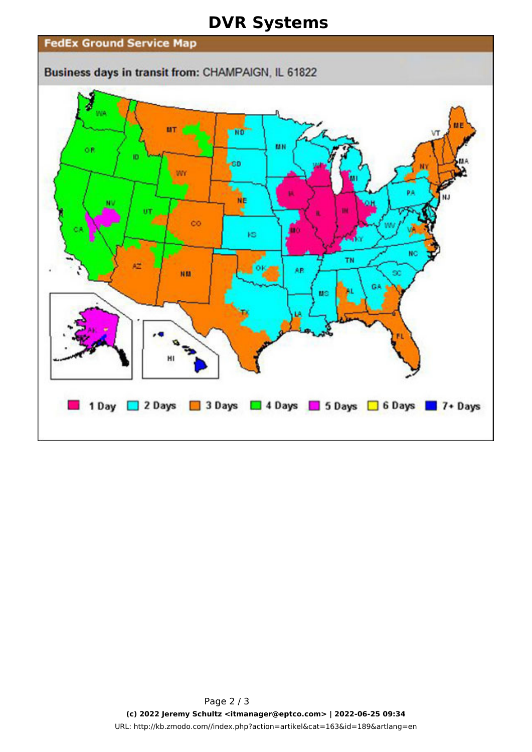## **DVR Systems**